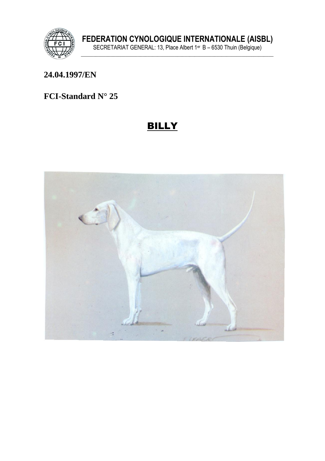

### 24.04.1997/EN

# FCI-Standard N° 25

# **BILLY**

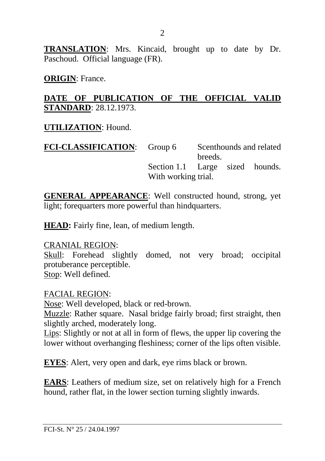**TRANSLATION**: Mrs. Kincaid, brought up to date by Dr. Paschoud. Official language (FR).

**ORIGIN**: France.

### **DATE OF PUBLICATION OF THE OFFICIAL VALID STANDARD**: 28.12.1973.

**UTILIZATION**: Hound.

| <b>FCI-CLASSIFICATION:</b> Group 6 |                                 | Scenthounds and related |         |  |
|------------------------------------|---------------------------------|-------------------------|---------|--|
|                                    |                                 |                         | breeds. |  |
|                                    | Section 1.1 Large sized hounds. |                         |         |  |
|                                    | With working trial.             |                         |         |  |

**GENERAL APPEARANCE**: Well constructed hound, strong, yet light; forequarters more powerful than hindquarters.

**HEAD:** Fairly fine, lean, of medium length.

CRANIAL REGION:

Skull: Forehead slightly domed, not very broad; occipital protuberance perceptible. Stop: Well defined.

FACIAL REGION: Nose: Well developed, black or red-brown. Muzzle: Rather square. Nasal bridge fairly broad; first straight, then slightly arched, moderately long. Lips: Slightly or not at all in form of flews, the upper lip covering the lower without overhanging fleshiness; corner of the lips often visible.

**EYES**: Alert, very open and dark, eye rims black or brown.

**EARS**: Leathers of medium size, set on relatively high for a French hound, rather flat, in the lower section turning slightly inwards.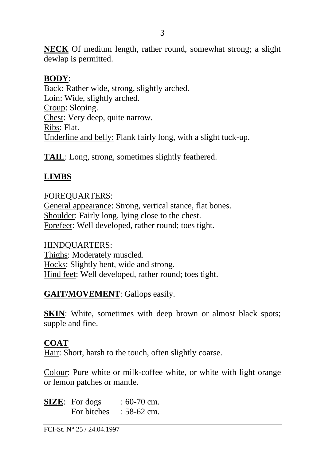**NECK** Of medium length, rather round, somewhat strong; a slight dewlap is permitted.

#### **BODY**:

Back: Rather wide, strong, slightly arched. Loin: Wide, slightly arched. Croup: Sloping. Chest: Very deep, quite narrow. Ribs: Flat. Underline and belly: Flank fairly long, with a slight tuck-up.

**TAIL**: Long, strong, sometimes slightly feathered.

### **LIMBS**

#### FOREQUARTERS:

General appearance: Strong, vertical stance, flat bones. Shoulder: Fairly long, lying close to the chest. Forefeet: Well developed, rather round; toes tight.

#### HINDQUARTERS:

Thighs: Moderately muscled. Hocks: Slightly bent, wide and strong. Hind feet: Well developed, rather round; toes tight.

#### **GAIT/MOVEMENT**: Gallops easily.

**SKIN**: White, sometimes with deep brown or almost black spots; supple and fine.

#### **COAT**

Hair: Short, harsh to the touch, often slightly coarse.

Colour: Pure white or milk-coffee white, or white with light orange or lemon patches or mantle.

**SIZE:** For dogs :  $60-70$  cm. For bitches  $: 58-62$  cm.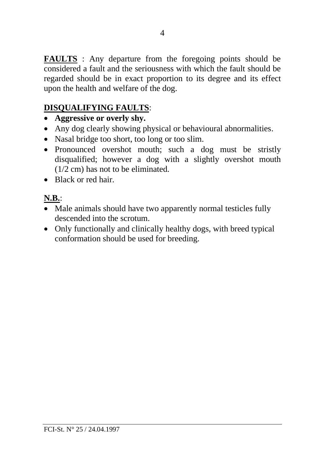**FAULTS** : Any departure from the foregoing points should be considered a fault and the seriousness with which the fault should be regarded should be in exact proportion to its degree and its effect upon the health and welfare of the dog.

# **DISQUALIFYING FAULTS**:

- **Aggressive or overly shy.**
- Any dog clearly showing physical or behavioural abnormalities.
- Nasal bridge too short, too long or too slim.
- Pronounced overshot mouth; such a dog must be stristly disqualified; however a dog with a slightly overshot mouth (1/2 cm) has not to be eliminated.
- Black or red hair.

# **N.B.**:

- Male animals should have two apparently normal testicles fully descended into the scrotum.
- Only functionally and clinically healthy dogs, with breed typical conformation should be used for breeding.